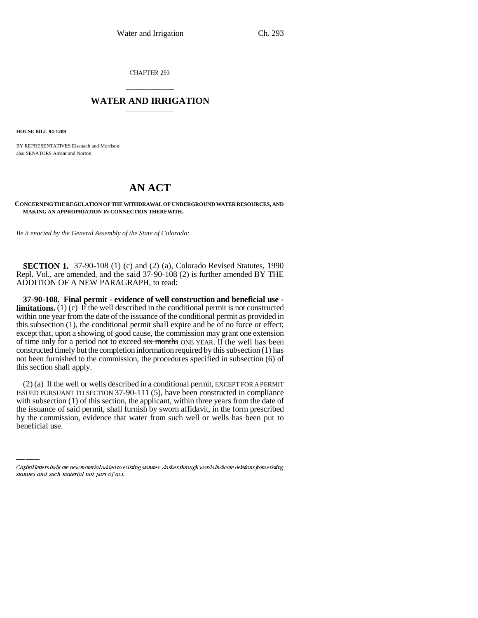CHAPTER 293

## \_\_\_\_\_\_\_\_\_\_\_\_\_\_\_ **WATER AND IRRIGATION** \_\_\_\_\_\_\_\_\_\_\_\_\_\_\_

**HOUSE BILL 94-1289**

BY REPRESENTATIVES Eisenach and Morrison; also SENATORS Ament and Norton.

# **AN ACT**

### **CONCERNING THE REGULATION OF THE WITHDRAWAL OF UNDERGROUND WATER RESOURCES, AND MAKING AN APPROPRIATION IN CONNECTION THEREWITH.**

*Be it enacted by the General Assembly of the State of Colorado:*

**SECTION 1.** 37-90-108 (1) (c) and (2) (a), Colorado Revised Statutes, 1990 Repl. Vol., are amended, and the said 37-90-108 (2) is further amended BY THE ADDITION OF A NEW PARAGRAPH, to read:

**37-90-108. Final permit - evidence of well construction and beneficial use limitations.** (1) (c) If the well described in the conditional permit is not constructed within one year from the date of the issuance of the conditional permit as provided in this subsection (1), the conditional permit shall expire and be of no force or effect; except that, upon a showing of good cause, the commission may grant one extension of time only for a period not to exceed six months ONE YEAR. If the well has been constructed timely but the completion information required by this subsection (1) has not been furnished to the commission, the procedures specified in subsection (6) of this section shall apply.

with subsection (1) of this section, the applicant, within three years from the date of (2) (a) If the well or wells described in a conditional permit, EXCEPT FOR A PERMIT ISSUED PURSUANT TO SECTION 37-90-111 (5), have been constructed in compliance the issuance of said permit, shall furnish by sworn affidavit, in the form prescribed by the commission, evidence that water from such well or wells has been put to beneficial use.

Capital letters indicate new material added to existing statutes; dashes through words indicate deletions from existing statutes and such material not part of act.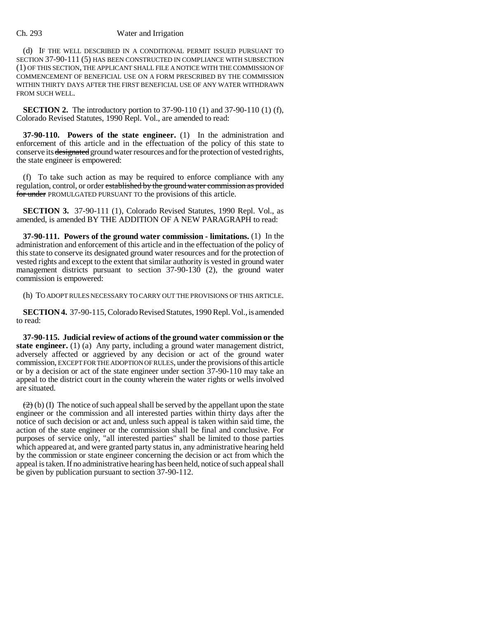### Ch. 293 Water and Irrigation

(d) IF THE WELL DESCRIBED IN A CONDITIONAL PERMIT ISSUED PURSUANT TO SECTION 37-90-111 (5) HAS BEEN CONSTRUCTED IN COMPLIANCE WITH SUBSECTION (1) OF THIS SECTION, THE APPLICANT SHALL FILE A NOTICE WITH THE COMMISSION OF COMMENCEMENT OF BENEFICIAL USE ON A FORM PRESCRIBED BY THE COMMISSION WITHIN THIRTY DAYS AFTER THE FIRST BENEFICIAL USE OF ANY WATER WITHDRAWN FROM SUCH WELL.

**SECTION 2.** The introductory portion to 37-90-110 (1) and 37-90-110 (1) (f), Colorado Revised Statutes, 1990 Repl. Vol., are amended to read:

**37-90-110. Powers of the state engineer.** (1) In the administration and enforcement of this article and in the effectuation of the policy of this state to conserve its designated ground water resources and for the protection of vested rights, the state engineer is empowered:

(f) To take such action as may be required to enforce compliance with any regulation, control, or order established by the ground water commission as provided for under PROMULGATED PURSUANT TO the provisions of this article.

**SECTION 3.** 37-90-111 (1), Colorado Revised Statutes, 1990 Repl. Vol., as amended, is amended BY THE ADDITION OF A NEW PARAGRAPH to read:

**37-90-111. Powers of the ground water commission - limitations.** (1) In the administration and enforcement of this article and in the effectuation of the policy of this state to conserve its designated ground water resources and for the protection of vested rights and except to the extent that similar authority is vested in ground water management districts pursuant to section 37-90-130 (2), the ground water commission is empowered:

(h) TO ADOPT RULES NECESSARY TO CARRY OUT THE PROVISIONS OF THIS ARTICLE.

**SECTION 4.** 37-90-115, Colorado Revised Statutes, 1990 Repl. Vol., is amended to read:

**37-90-115. Judicial review of actions of the ground water commission or the state engineer.** (1) (a) Any party, including a ground water management district, adversely affected or aggrieved by any decision or act of the ground water commission, EXCEPT FOR THE ADOPTION OF RULES, under the provisions of this article or by a decision or act of the state engineer under section 37-90-110 may take an appeal to the district court in the county wherein the water rights or wells involved are situated.

 $(2)$  (b) (I) The notice of such appeal shall be served by the appellant upon the state engineer or the commission and all interested parties within thirty days after the notice of such decision or act and, unless such appeal is taken within said time, the action of the state engineer or the commission shall be final and conclusive. For purposes of service only, "all interested parties" shall be limited to those parties which appeared at, and were granted party status in, any administrative hearing held by the commission or state engineer concerning the decision or act from which the appeal is taken. If no administrative hearing has been held, notice of such appeal shall be given by publication pursuant to section 37-90-112.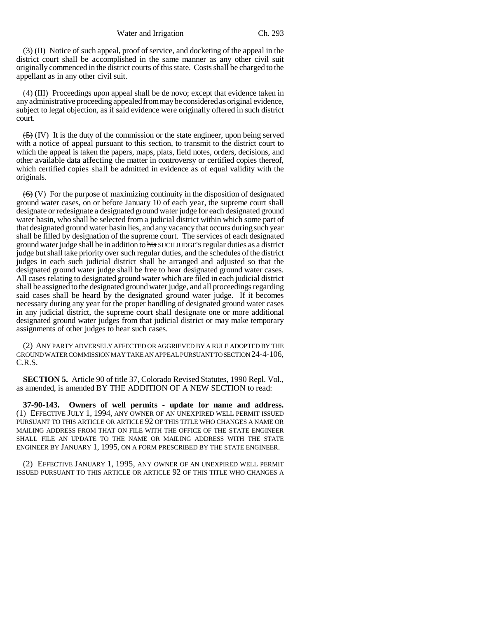$\left(\frac{1}{2}\right)$  (II) Notice of such appeal, proof of service, and docketing of the appeal in the district court shall be accomplished in the same manner as any other civil suit originally commenced in the district courts of this state. Costs shall be charged to the appellant as in any other civil suit.

 $\left(4\right)$  (III) Proceedings upon appeal shall be de novo; except that evidence taken in any administrative proceeding appealed from may be considered as original evidence, subject to legal objection, as if said evidence were originally offered in such district court.

 $(5)$  (IV) It is the duty of the commission or the state engineer, upon being served with a notice of appeal pursuant to this section, to transmit to the district court to which the appeal is taken the papers, maps, plats, field notes, orders, decisions, and other available data affecting the matter in controversy or certified copies thereof, which certified copies shall be admitted in evidence as of equal validity with the originals.

 $(6)$  (V) For the purpose of maximizing continuity in the disposition of designated ground water cases, on or before January 10 of each year, the supreme court shall designate or redesignate a designated ground water judge for each designated ground water basin, who shall be selected from a judicial district within which some part of that designated ground water basin lies, and any vacancy that occurs during such year shall be filled by designation of the supreme court. The services of each designated ground water judge shall be in addition to his SUCH JUDGE'S regular duties as a district judge but shall take priority over such regular duties, and the schedules of the district judges in each such judicial district shall be arranged and adjusted so that the designated ground water judge shall be free to hear designated ground water cases. All cases relating to designated ground water which are filed in each judicial district shall be assigned to the designated ground water judge, and all proceedings regarding said cases shall be heard by the designated ground water judge. If it becomes necessary during any year for the proper handling of designated ground water cases in any judicial district, the supreme court shall designate one or more additional designated ground water judges from that judicial district or may make temporary assignments of other judges to hear such cases.

(2) ANY PARTY ADVERSELY AFFECTED OR AGGRIEVED BY A RULE ADOPTED BY THE GROUND WATER COMMISSION MAY TAKE AN APPEAL PURSUANT TO SECTION 24-4-106, C.R.S.

**SECTION 5.** Article 90 of title 37, Colorado Revised Statutes, 1990 Repl. Vol., as amended, is amended BY THE ADDITION OF A NEW SECTION to read:

**37-90-143. Owners of well permits - update for name and address.** (1) EFFECTIVE JULY 1, 1994, ANY OWNER OF AN UNEXPIRED WELL PERMIT ISSUED PURSUANT TO THIS ARTICLE OR ARTICLE 92 OF THIS TITLE WHO CHANGES A NAME OR MAILING ADDRESS FROM THAT ON FILE WITH THE OFFICE OF THE STATE ENGINEER SHALL FILE AN UPDATE TO THE NAME OR MAILING ADDRESS WITH THE STATE ENGINEER BY JANUARY 1, 1995, ON A FORM PRESCRIBED BY THE STATE ENGINEER.

(2) EFFECTIVE JANUARY 1, 1995, ANY OWNER OF AN UNEXPIRED WELL PERMIT ISSUED PURSUANT TO THIS ARTICLE OR ARTICLE 92 OF THIS TITLE WHO CHANGES A